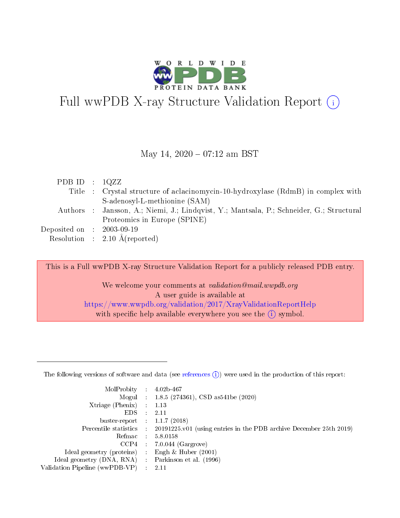

# Full wwPDB X-ray Structure Validation Report  $(i)$

### May 14,  $2020 - 07:12$  am BST

| PDB ID : $1QZZ$             |                                                                                          |
|-----------------------------|------------------------------------------------------------------------------------------|
|                             | Title : Crystal structure of aclacinomycin-10-hydroxylase (RdmB) in complex with         |
|                             | S-adenosyl-L-methionine (SAM)                                                            |
|                             | Authors : Jansson, A.; Niemi, J.; Lindqvist, Y.; Mantsala, P.; Schneider, G.; Structural |
|                             | Proteomics in Europe (SPINE)                                                             |
| Deposited on : $2003-09-19$ |                                                                                          |
|                             | Resolution : $2.10 \text{ Å}$ (reported)                                                 |

This is a Full wwPDB X-ray Structure Validation Report for a publicly released PDB entry.

We welcome your comments at validation@mail.wwpdb.org A user guide is available at <https://www.wwpdb.org/validation/2017/XrayValidationReportHelp> with specific help available everywhere you see the  $(i)$  symbol.

The following versions of software and data (see [references](https://www.wwpdb.org/validation/2017/XrayValidationReportHelp#references)  $(1)$ ) were used in the production of this report:

| MolProbity :                   |               | $4.02b - 467$                                                               |
|--------------------------------|---------------|-----------------------------------------------------------------------------|
|                                |               | Mogul : $1.8.5$ (274361), CSD as 541be (2020)                               |
| Xtriage (Phenix)               | $\mathcal{L}$ | 1.13                                                                        |
| EDS.                           |               | 2.11                                                                        |
| buster-report : $1.1.7$ (2018) |               |                                                                             |
| Percentile statistics :        |               | $20191225 \text{v}01$ (using entries in the PDB archive December 25th 2019) |
| Refmac :                       |               | 5.8.0158                                                                    |
| CCP4                           |               | $7.0.044$ (Gargrove)                                                        |
| Ideal geometry (proteins) :    |               | Engh $\&$ Huber (2001)                                                      |
| Ideal geometry (DNA, RNA) :    |               | Parkinson et al. (1996)                                                     |
| Validation Pipeline (wwPDB-VP) | $\mathcal{L}$ | 2.11                                                                        |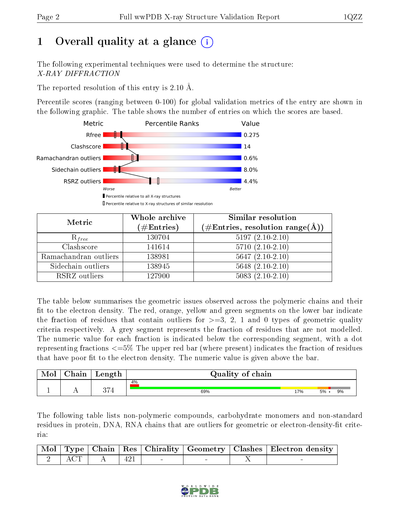# 1 [O](https://www.wwpdb.org/validation/2017/XrayValidationReportHelp#overall_quality)verall quality at a glance  $(i)$

The following experimental techniques were used to determine the structure: X-RAY DIFFRACTION

The reported resolution of this entry is 2.10 Å.

Percentile scores (ranging between 0-100) for global validation metrics of the entry are shown in the following graphic. The table shows the number of entries on which the scores are based.



| Metric                | Whole archive<br>$(\#\text{Entries})$ | Similar resolution<br>$(\#\text{Entries},\,\text{resolution}\,\,\text{range}(\textup{\AA}))$ |
|-----------------------|---------------------------------------|----------------------------------------------------------------------------------------------|
| $R_{free}$            | 130704                                | $5197(2.10-2.10)$                                                                            |
| Clashscore            | 141614                                | $5710(2.10-2.10)$                                                                            |
| Ramachandran outliers | 138981                                | $5647(2.10-2.10)$                                                                            |
| Sidechain outliers    | 138945                                | $5648$ $(2.10-2.10)$                                                                         |
| RSRZ outliers         | 127900                                | $5083(2.10-2.10)$                                                                            |

The table below summarises the geometric issues observed across the polymeric chains and their fit to the electron density. The red, orange, yellow and green segments on the lower bar indicate the fraction of residues that contain outliers for  $>=3, 2, 1$  and 0 types of geometric quality criteria respectively. A grey segment represents the fraction of residues that are not modelled. The numeric value for each fraction is indicated below the corresponding segment, with a dot representing fractions <=5% The upper red bar (where present) indicates the fraction of residues that have poor fit to the electron density. The numeric value is given above the bar.

| Mol | Chain | Length | Quality of chain |     |         |    |  |  |
|-----|-------|--------|------------------|-----|---------|----|--|--|
|     |       |        | 4%               |     |         |    |  |  |
|     |       | חה     | 69%              | 17% | $5\%$ . | 9% |  |  |

The following table lists non-polymeric compounds, carbohydrate monomers and non-standard residues in protein, DNA, RNA chains that are outliers for geometric or electron-density-fit criteria:

|  |                                     |  |  | Mol   Type   Chain   Res   Chirality   Geometry   Clashes   Electron density |
|--|-------------------------------------|--|--|------------------------------------------------------------------------------|
|  | $\frac{1}{2}$ ACT $\frac{1}{2}$ 421 |  |  |                                                                              |

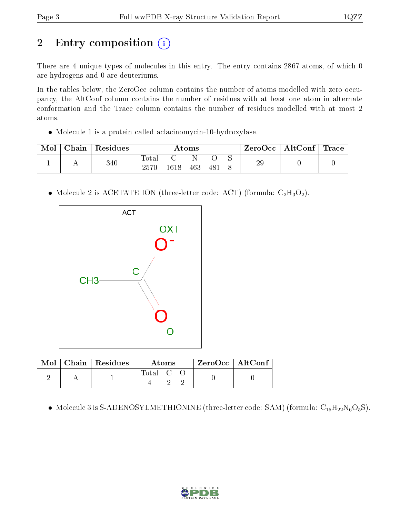# 2 Entry composition (i)

There are 4 unique types of molecules in this entry. The entry contains 2867 atoms, of which 0 are hydrogens and 0 are deuteriums.

In the tables below, the ZeroOcc column contains the number of atoms modelled with zero occupancy, the AltConf column contains the number of residues with at least one atom in alternate conformation and the Trace column contains the number of residues modelled with at most 2 atoms.

Molecule 1 is a protein called aclacinomycin-10-hydroxylase.

| Mol | ${\rm Chain}$ | Residues | Atoms        |      |     |            | $\text{ZeroOcc} \mid \text{AltConf} \mid \text{Trace}$ |    |  |  |
|-----|---------------|----------|--------------|------|-----|------------|--------------------------------------------------------|----|--|--|
|     |               | 340      | <b>Total</b> | 1618 | 463 | $48^\circ$ | ∼                                                      | 29 |  |  |
|     |               |          |              |      |     |            |                                                        |    |  |  |

• Molecule 2 is ACETATE ION (three-letter code: ACT) (formula:  $C_2H_3O_2$ ).



|  | $\text{Mol}$   Chain   Residues | Atoms   |  |  | $ZeroOcc \mid AltConf$ |  |
|--|---------------------------------|---------|--|--|------------------------|--|
|  |                                 | Total C |  |  |                        |  |

- Molecule 3 is S-ADENOSYLMETHIONINE (three-letter code: SAM) (formula:  $\rm{C_{15}H_{22}N_6O_5S}$ ).

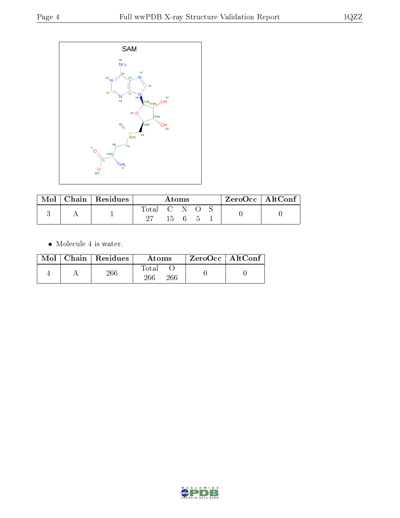

| Mol | <b>Chain</b>   $\overline{\text{Residues}}$ | Atoms       |  |              |  |  | ZeroOcc   AltConf |
|-----|---------------------------------------------|-------------|--|--------------|--|--|-------------------|
|     |                                             | Total C N O |  |              |  |  |                   |
|     |                                             |             |  | $15 \quad 6$ |  |  |                   |

Molecule 4 is water.

|  | Mol   Chain   Residues | Atoms               | $ZeroOcc \mid AltConf \mid$ |
|--|------------------------|---------------------|-----------------------------|
|  | 266                    | Fotal<br>266<br>266 |                             |

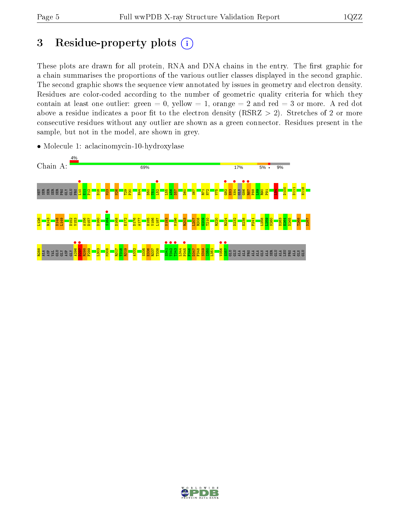# 3 Residue-property plots  $(i)$

These plots are drawn for all protein, RNA and DNA chains in the entry. The first graphic for a chain summarises the proportions of the various outlier classes displayed in the second graphic. The second graphic shows the sequence view annotated by issues in geometry and electron density. Residues are color-coded according to the number of geometric quality criteria for which they contain at least one outlier: green  $= 0$ , yellow  $= 1$ , orange  $= 2$  and red  $= 3$  or more. A red dot above a residue indicates a poor fit to the electron density (RSRZ  $> 2$ ). Stretches of 2 or more consecutive residues without any outlier are shown as a green connector. Residues present in the sample, but not in the model, are shown in grey.



• Molecule 1: aclacinomycin-10-hydroxylase

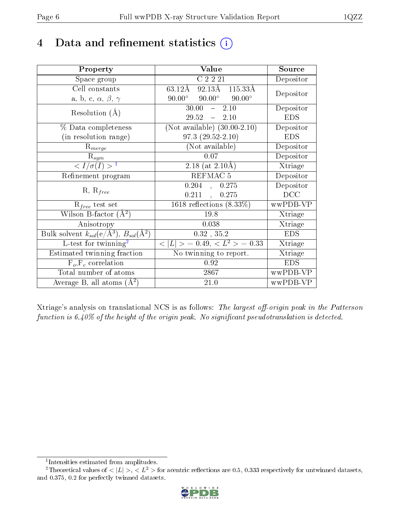# 4 Data and refinement statistics  $(i)$

| Property                                                         | Value                                           | Source     |
|------------------------------------------------------------------|-------------------------------------------------|------------|
| Space group                                                      | $C$ $\overline{2221}$                           | Depositor  |
| Cell constants                                                   | $92.13\text{\AA}$ 115.33Å<br>63.12Å             | Depositor  |
| a, b, c, $\alpha$ , $\beta$ , $\gamma$                           | $90.00^{\circ}$ $90.00^{\circ}$ $90.00^{\circ}$ |            |
| Resolution $(A)$                                                 | 30.00<br>$-2.10$                                | Depositor  |
|                                                                  | $29.52 - 2.10$                                  | <b>EDS</b> |
| % Data completeness                                              | (Not available) $(30.00-2.10)$                  | Depositor  |
| (in resolution range)                                            | $97.3(29.52-2.10)$                              | <b>EDS</b> |
| $R_{merge}$                                                      | (Not available)                                 | Depositor  |
| $\mathrm{R}_{sym}$                                               | 0.07                                            | Depositor  |
| $\langle I/\sigma(I) \rangle^{-1}$                               | 2.18 (at $2.10\text{\AA}$ )                     | Xtriage    |
| Refinement program                                               | REFMAC 5                                        | Depositor  |
|                                                                  | $0.204$ ,<br>0.275                              | Depositor  |
| $R, R_{free}$                                                    | 0.211<br>0.275<br>$\mathcal{L}_{\mathbf{A}}$ .  | DCC        |
| $R_{free}$ test set                                              | 1618 reflections $(8.33\%)$                     | wwPDB-VP   |
| Wilson B-factor $(A^2)$                                          | 19.8                                            | Xtriage    |
| Anisotropy                                                       | 0.038                                           | Xtriage    |
| Bulk solvent $k_{sol}(\text{e}/\text{A}^3), B_{sol}(\text{A}^2)$ | $0.32$ , $35.2$                                 | <b>EDS</b> |
| L-test for $\mathrm{twinning}^2$                                 | $< L >$ = 0.49, $< L2$ = 0.33                   | Xtriage    |
| Estimated twinning fraction                                      | No twinning to report.                          | Xtriage    |
| $F_o, F_c$ correlation                                           | 0.92                                            | <b>EDS</b> |
| Total number of atoms                                            | 2867                                            | wwPDB-VP   |
| Average B, all atoms $(A^2)$                                     | 21.0                                            | wwPDB-VP   |

Xtriage's analysis on translational NCS is as follows: The largest off-origin peak in the Patterson function is  $6.40\%$  of the height of the origin peak. No significant pseudotranslation is detected.

<sup>&</sup>lt;sup>2</sup>Theoretical values of  $\langle |L| \rangle$ ,  $\langle L^2 \rangle$  for acentric reflections are 0.5, 0.333 respectively for untwinned datasets, and 0.375, 0.2 for perfectly twinned datasets.



<span id="page-5-1"></span><span id="page-5-0"></span><sup>1</sup> Intensities estimated from amplitudes.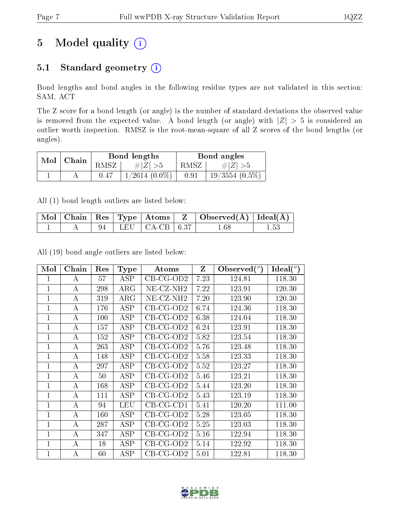# 5 Model quality  $(i)$

## 5.1 Standard geometry (i)

Bond lengths and bond angles in the following residue types are not validated in this section: SAM, ACT

The Z score for a bond length (or angle) is the number of standard deviations the observed value is removed from the expected value. A bond length (or angle) with  $|Z| > 5$  is considered an outlier worth inspection. RMSZ is the root-mean-square of all Z scores of the bond lengths (or angles).

| Mol | Chain |       | Bond lengths     | Bond angles |                  |  |
|-----|-------|-------|------------------|-------------|------------------|--|
|     |       | RMSZ- | $\ E\ $          | RMSZ        | $\# Z $          |  |
|     |       |       | $1/2614~(0.0\%)$ | 0.91        | $19/3554$ (0.5%) |  |

All (1) bond length outliers are listed below:

|  |  |                         | $\mid$ Mol $\mid$ Chain $\mid$ Res $\mid$ Type $\mid$ Atoms $\mid$ Z $\mid$ Observed(Å) $\mid$ Ideal(Å) $\mid$ |  |
|--|--|-------------------------|----------------------------------------------------------------------------------------------------------------|--|
|  |  | 94   LEU   CA-CB   6.37 | $1.68\,$                                                                                                       |  |

All (19) bond angle outliers are listed below:

| Mol            | Chain            | Res | <b>Type</b> | Atoms                 | Z    | Observed $(°)$ | $Ideal(^o)$ |
|----------------|------------------|-----|-------------|-----------------------|------|----------------|-------------|
| 1              | A                | 57  | ASP         | $CB-CG-OD2$           | 7.23 | 124.81         | 118.30      |
| $\mathbf{1}$   | A                | 298 | $\rm{ARG}$  | NE-CZ-NH <sub>2</sub> | 7.22 | 123.91         | 120.30      |
| $\overline{1}$ | А                | 319 | $\rm{ARG}$  | NE-CZ-NH <sub>2</sub> | 7.20 | 123.90         | 120.30      |
| $\mathbf{1}$   | A                | 176 | ASP         | CB-CG-OD2             | 6.74 | 124.36         | 118.30      |
| 1              | A                | 100 | ASP         | $CB-CG-OD2$           | 6.38 | 124.04         | 118.30      |
| $\mathbf 1$    | $\boldsymbol{A}$ | 157 | <b>ASP</b>  | $CB-CG-OD2$           | 6.24 | 123.91         | 118.30      |
| $\mathbf{1}$   | A                | 152 | <b>ASP</b>  | $CB-CG-OD2$           | 5.82 | 123.54         | 118.30      |
| $\mathbf 1$    | А                | 263 | ASP         | $CB-CG-OD2$           | 5.76 | 123.48         | 118.30      |
| $\mathbf 1$    | А                | 148 | ASP         | $CB-CG-OD2$           | 5.58 | 123.33         | 118.30      |
| $\mathbf 1$    | A                | 297 | ASP         | $CB-CG-OD2$           | 5.52 | 123.27         | 118.30      |
| 1              | A                | 50  | ASP         | $CB-CG-OD2$           | 5.46 | 123.21         | 118.30      |
| $\mathbf{1}$   | $\boldsymbol{A}$ | 168 | ASP         | $CB-CG-OD2$           | 5.44 | 123.20         | 118.30      |
| $\mathbf 1$    | A                | 111 | ASP         | $CB-CG-OD2$           | 5.43 | 123.19         | 118.30      |
| 1              | A                | 94  | <b>LEU</b>  | $CB-CG-CD1$           | 5.41 | 120.20         | 111.00      |
| 1              | A                | 160 | ASP         | $CB-CG-OD2$           | 5.28 | 123.05         | 118.30      |
| 1              | А                | 287 | <b>ASP</b>  | $CB-CG-OD2$           | 5.25 | 123.03         | 118.30      |
| $\mathbf 1$    | А                | 347 | ASP         | $CB-CG-OD2$           | 5.16 | 122.94         | 118.30      |
| $\mathbf{1}$   | A                | 18  | ASP         | $CB-CG-OD2$           | 5.14 | 122.92         | 118.30      |
| $\mathbf 1$    | А                | 60  | <b>ASP</b>  | $CB-CG-OD2$           | 5.01 | 122.81         | 118.30      |

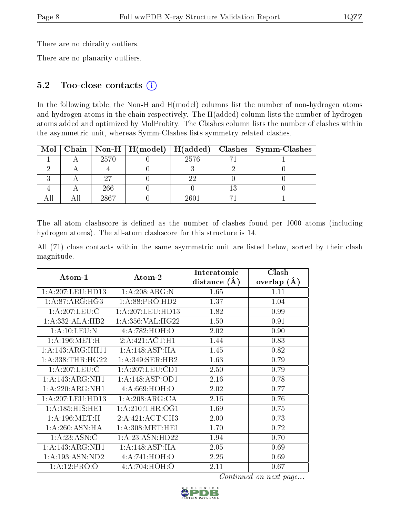There are no chirality outliers.

There are no planarity outliers.

### 5.2 Too-close contacts (i)

In the following table, the Non-H and H(model) columns list the number of non-hydrogen atoms and hydrogen atoms in the chain respectively. The H(added) column lists the number of hydrogen atoms added and optimized by MolProbity. The Clashes column lists the number of clashes within the asymmetric unit, whereas Symm-Clashes lists symmetry related clashes.

|  |      | Mol   Chain   Non-H   $H (model)$   $H (added)$ |      | $\mid$ Clashes $\mid$ Symm-Clashes |
|--|------|-------------------------------------------------|------|------------------------------------|
|  | 2570 |                                                 | 2576 |                                    |
|  |      |                                                 |      |                                    |
|  |      |                                                 |      |                                    |
|  | 266  |                                                 |      |                                    |
|  | 2867 |                                                 |      |                                    |

The all-atom clashscore is defined as the number of clashes found per 1000 atoms (including hydrogen atoms). The all-atom clashscore for this structure is 14.

|            |  |  | All (71) close contacts within the same asymmetric unit are listed below, sorted by their clash |  |  |  |  |
|------------|--|--|-------------------------------------------------------------------------------------------------|--|--|--|--|
| magnitude. |  |  |                                                                                                 |  |  |  |  |

|                      |                     | Interatomic    | Clash         |
|----------------------|---------------------|----------------|---------------|
| Atom-1               | Atom-2              | distance $(A)$ | overlap $(A)$ |
| 1: A:207:LEU:HD13    | 1:A:208:ARG:N       | 1.65           | 1.11          |
| 1: A:87: ARG: HG3    | 1:A:88:PRO:HD2      | 1.37           | 1.04          |
| 1: A:207:LEU:C       | 1:A:207:LEU:HD13    | 1.82           | 0.99          |
| 1:A:332:ALA:HB2      | 1: A: 356: VAL:HG22 | 1.50           | 0.91          |
| 1:A:10:LEU:N         | 4:A:782:HOH:O       | 2.02           | 0.90          |
| 1: A:196:MET:H       | 2:A:421:ACT:H1      | 1.44           | 0.83          |
| 1:A:143:ARG:HH11     | 1:A:148:ASP:HA      | 1.45           | 0.82          |
| 1: A: 338: THR: HG22 | 1:A:349:SER:HB2     | 1.63           | 0.79          |
| 1: A:207:LEU:C       | 1: A: 207: LEU: CD1 | 2.50           | 0.79          |
| 1:A:143:ARG:NH1      | 1: A:148: ASP:OD1   | 2.16           | 0.78          |
| 1:A:220:ARG:NH1      | 4:A:669:HOH:O       | 2.02           | 0.77          |
| 1:A:207:LEU:HD13     | 1:A:208:ARG:CA      | 2.16           | 0.76          |
| 1:A:185:HIS:HEL      | 1: A:210:THR:OG1    | 1.69           | 0.75          |
| 1: A:196:MET:H       | 2:A:421:ACT:CH3     | 2.00           | 0.73          |
| 1: A:260:ASN:HA      | 1: A:308:MET:HE1    | 1.70           | 0.72          |
| 1: A: 23: ASN: C     | 1:A:23:ASN:HD22     | 1.94           | 0.70          |
| 1:A:143:ARG:NH1      | 1:A:148:ASP:HA      | 2.05           | 0.69          |
| 1: A: 193: ASN: ND2  | 4:A:741:HOH:O       | 2.26           | 0.69          |
| 1:A:12:PRO:O         | 4:A:704:HOH:O       | 2.11           | 0.67          |

Continued on next page...

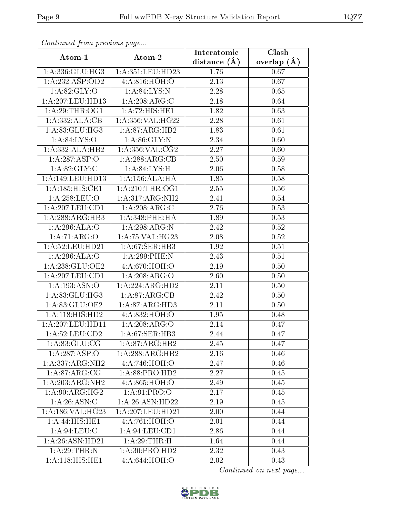| Communa from previous page    |                    | Interatomic      | Clash           |  |
|-------------------------------|--------------------|------------------|-----------------|--|
| Atom-1                        | Atom-2             | distance $(\AA)$ | overlap $(\AA)$ |  |
| 1:A:336:GLU:HG3               | 1:A:351:LEU:HD23   | 1.76             | 0.67            |  |
| 1:A:232:ASP:OD2               | 4:A.816:HOH.0      | 2.13             | 0.67            |  |
| 1: A:82: GLY:O                | 1: A:84:LYS:N      | 2.28             | 0.65            |  |
| 1: A:207:LEU:HD13             | 1:A:208:ARG:C      | 2.18             | 0.64            |  |
| 1: A:29:THR:OG1               | 1:A:72:HIS:HE1     | 1.82             | 0.63            |  |
| 1:A:332:ALA:CB                | 1:A:356:VAL:HG22   | 2.28             | 0.61            |  |
| 1: A:83: GLU:HG3              | 1:A:87:ARG:HB2     | 1.83             | 0.61            |  |
| 1: A:84:LYS:O                 | 1: A:86: GLY:N     | 2.34             | 0.60            |  |
| 1:A:332:ALA:HB2               | 1: A:356: VAL: CG2 | 2.27             | 0.60            |  |
| 1:A:287:ASP:O                 | 1: A:288:ARG:CB    | 2.50             | 0.59            |  |
| 1: A:82: GLY: C               | 1: A:84:LYS:H      | 2.06             | 0.58            |  |
| 1: A:149: LEU: HD13           | 1:A:156:ALA:HA     | 1.85             | 0.58            |  |
| $1:A:185:H1ST1CF1$            | 1: A:210:THR:OG1   | 2.55             | 0.56            |  |
| 1:A:258:LEU:O                 | 1:A:317:ARG:NH2    | 2.41             | $0.54\,$        |  |
| 1:A:207:LEU:CD1               | 1:A:208:ARG:C      | 2.76             | 0.53            |  |
| 1:A:288:ARG:HB3               | $1:$ A:348:PHE:HA  | 1.89             | 0.53            |  |
| 1:A:296:ALA:O                 | 1:A:298:ARG:N      | 2.42             | 0.52            |  |
| 1:A:71:ARG:O                  | 1: A:75: VAL:HG23  | 2.08             | 0.52            |  |
| 1: A:52:LEU:HD21              | 1:A:67:SER:HB3     | 1.92             | 0.51            |  |
| 1:A:296:ALA:O                 | 1:A:299:PHE:N      | 2.43             | 0.51            |  |
| 1:A:238:GLU:OE2               | 4:A:670:HOH:O      | 2.19             | 0.50            |  |
| 1:A:207:LEU:CD1               | 1:A:208:ARG:O      | $2.60\,$         | 0.50            |  |
| 1:A:193:ASN:O                 | 1:A:224:ARG:HD2    | 2.11             | 0.50            |  |
| 1: A:83: GLU:HG3              | 1:A:87:ARG:CB      | 2.42             | 0.50            |  |
| 1:A:83:GLU:OE2                | 1:A:87:ARG:HD3     | 2.11             | 0.50            |  |
| 1: A:118: HIS: HD2            | 4:A:832:HOH:O      | 1.95             | 0.48            |  |
| 1: A:207:LEU:HD11             | 1:A:208:ARG:O      | 2.14             | 0.47            |  |
| $1: A:52:LEU: \overline{CD2}$ | 1: A:67: SER:HB3   | 2.44             | 0.47            |  |
| 1: A:83: GLU:CG               | 1:A:87:ARG:HB2     | 2.45             | 0.47            |  |
| 1:A:287:ASP:O                 | 1:A:288:ARG:HB2    | 2.16             | 0.46            |  |
| 1:A:337:ARG:NH2               | 4:A:746:HOH:O      | 2.47             | 0.46            |  |
| 1:A:87:ARG:CG                 | 1:A:88:PRO:HD2     | 2.27             | 0.45            |  |
| $1:A:203:ARG:\overline{NT2}$  | 4:A:865:HOH:O      | 2.49             | 0.45            |  |
| 1: A:90:ARG:HG2               | 1: A:91: PRO:O     | 2.17             | 0.45            |  |
| 1: A:26: ASN:C                | 1:A:26:ASN:HD22    | 2.19             | 0.45            |  |
| 1:A:186:VAL:HG23              | 1:A:207:LEU:HD21   | 2.00             | 0.44            |  |
| 1:A:44:HIS:HE1                | 4:A:761:HOH:O      | 2.01             | 0.44            |  |
| 1:A:94:LEU:C                  | 1:A:94:LEU:CD1     | 2.86             | 0.44            |  |
| 1: A:26: ASN:HD21             | 1:A:29:THR:H       | 1.64             | 0.44            |  |
| 1: A:29:THR:N                 | 1: A:30: PRO:HD2   | 2.32             | 0.43            |  |
| $1:A:118:H\overline{IS:H}E1$  | 4:A:644:HOH:O      | 2.02             | 0.43            |  |

Continued from previous page.

Continued on next page...

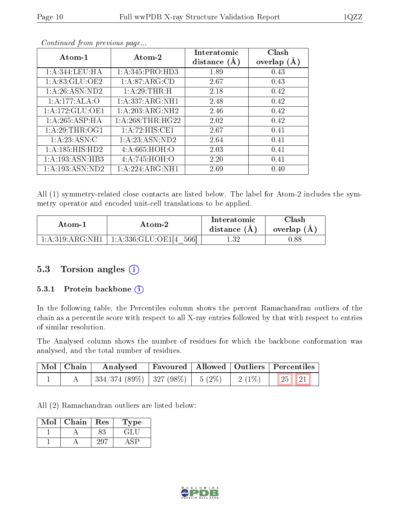| Atom- $1$           | Atom-2             | Interatomic<br>distance $(A)$ | Clash<br>overlap $(A)$ |
|---------------------|--------------------|-------------------------------|------------------------|
| 1:A:344:LEU:HA      | 1: A:345: PRO:HD3  | 1.89                          | 0.43                   |
| 1: A:83: GLU:OE2    | 1:A:87:ARG:CD      | 2.67                          | 0.43                   |
| 1:A:26:ASN:ND2      | 1:A:29:THR:H       | 2.18                          | 0.42                   |
| 1:A:177:ALA:O       | 1:A:337:ARG:NH1    | 2.48                          | 0.42                   |
| 1:A:172:GLU:OE1     | 1:A:203:ARG:NH2    | 2.46                          | 0.42                   |
| 1:A:265:ASP:HA      | 1: A:268:THR:HG22  | 2.02                          | 0.42                   |
| 1: A:29:THR:OG1     | 1:A:72:HIS:CE1     | 2.67                          | 0.41                   |
| 1: A:23: ASN: C     | 1:A:23:ASN:ND2     | 2.64                          | 0.41                   |
| 1: A: 185: HIS: HD2 | 4:A:665:HOH:O      | 2.03                          | 0.41                   |
| 1: A: 193: ASN: HB3 | 4:A:745:HOH:O      | 2.20                          | 0.41                   |
| 1: A: 193: ASN: ND2 | 1: A:224: ARG: NH1 | 2.69                          | 0.40                   |

Continued from previous page...

All (1) symmetry-related close contacts are listed below. The label for Atom-2 includes the symmetry operator and encoded unit-cell translations to be applied.

| Atom-1             | Atom-2                             | Interatomic<br>distance $(A)$ | Clash<br>overlap $(A)$ |
|--------------------|------------------------------------|-------------------------------|------------------------|
| 1: A:319: ARG: NH1 | $\pm 1:$ A:336:GLU:OE1[4]<br>.5661 | -32                           | 0.88                   |

### 5.3 Torsion angles (i)

#### 5.3.1 Protein backbone (i)

In the following table, the Percentiles column shows the percent Ramachandran outliers of the chain as a percentile score with respect to all X-ray entries followed by that with respect to entries of similar resolution.

The Analysed column shows the number of residues for which the backbone conformation was analysed, and the total number of residues.

| Mol   Chain | Analysed                                          |  | Favoured   Allowed   Outliers   Percentiles |
|-------------|---------------------------------------------------|--|---------------------------------------------|
|             | $334/374$ (89\%)   327 (98\%)   5 (2\%)   2 (1\%) |  | 25   21                                     |

All (2) Ramachandran outliers are listed below:

| Mol | Chain | Res | L'ype |
|-----|-------|-----|-------|
|     |       |     |       |
|     |       |     |       |

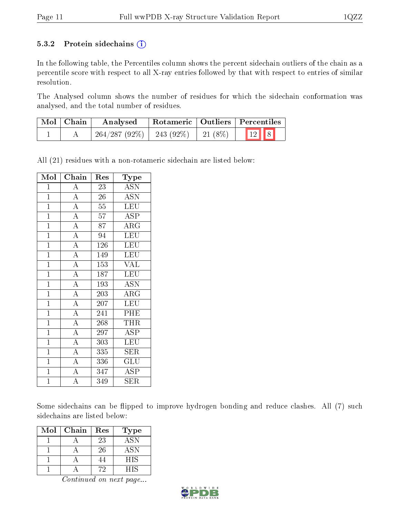#### 5.3.2 Protein sidechains  $(i)$

In the following table, the Percentiles column shows the percent sidechain outliers of the chain as a percentile score with respect to all X-ray entries followed by that with respect to entries of similar resolution.

The Analysed column shows the number of residues for which the sidechain conformation was analysed, and the total number of residues.

| Mol   Chain | Analysed                                 |  | Rotameric   Outliers   Percentiles |
|-------------|------------------------------------------|--|------------------------------------|
|             | $264/287 (92\%)$   243 (92\%)   21 (8\%) |  | $\boxed{12}$ $\boxed{8}$           |

All (21) residues with a non-rotameric sidechain are listed below:

| Mol            | Chain              | Res | Type                                       |
|----------------|--------------------|-----|--------------------------------------------|
| $\mathbf{1}$   | А                  | 23  | ASN                                        |
| $\mathbf{1}$   | $\overline{A}$     | 26  | <b>ASN</b>                                 |
| $\mathbf{1}$   | $\overline{A}$     | 55  | $\overline{\text{LEU}}$                    |
| $\mathbf{1}$   | $\overline{A}$     | 57  | <b>ASP</b>                                 |
| $\overline{1}$ | $\overline{A}$     | 87  | $\overline{\rm{ARG}}$                      |
| $\overline{1}$ | $\overline{A}$     | 94  | $\overline{\text{LEU}}$                    |
| $\mathbf{1}$   | $\overline{A}$     | 126 | <b>LEU</b>                                 |
| $\mathbf{1}$   | $\overline{A}$     | 149 | LEU                                        |
| $\mathbf{1}$   | $\overline{A}$     | 153 | <b>VAL</b>                                 |
| $\mathbf{1}$   | $\overline{A}$     | 187 | LEU                                        |
| $\overline{1}$ | $\overline{A}$     | 193 | <b>ASN</b>                                 |
| $\mathbf{1}$   | $\overline{A}$     | 203 | $\rm{ARG}$                                 |
| $\mathbf{1}$   | $\overline{A}$     | 207 | <b>LEU</b>                                 |
| $\overline{1}$ | $\overline{A}$     | 241 | PHE                                        |
| $\mathbf{1}$   | $\overline{\rm A}$ | 268 | THR                                        |
| $\overline{1}$ | $\overline{\rm A}$ | 297 | ASP                                        |
| $\mathbf{1}$   | $\overline{A}$     | 303 | LEU                                        |
| $\mathbf{1}$   | $\overline{A}$     | 335 | SER                                        |
| $\mathbf{1}$   | $\overline{\rm A}$ | 336 | $\operatorname{GL} \bar{\operatorname{U}}$ |
| $\mathbf{1}$   | $\overline{A}$     | 347 | <b>ASP</b>                                 |
| $\overline{1}$ | $\overline{\rm A}$ | 349 | SER                                        |

Some sidechains can be flipped to improve hydrogen bonding and reduce clashes. All (7) such sidechains are listed below:

| Mol | Chain | Res | Type       |
|-----|-------|-----|------------|
|     |       | 23  | <b>ASN</b> |
|     |       | 26  | <b>ASN</b> |
|     |       |     | HIS        |
|     |       |     | HIS        |

Continued on next page...

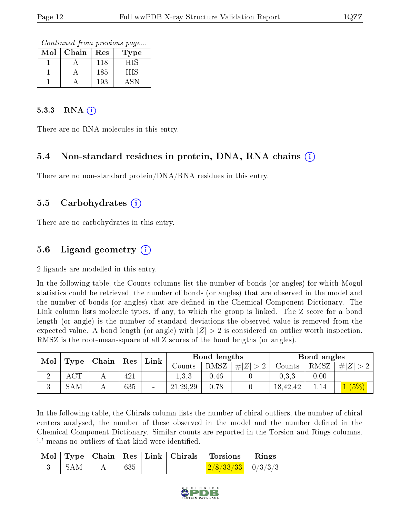Continued from previous page...

| $\operatorname{Mol}$ | Chain | Res | l'ype |
|----------------------|-------|-----|-------|
|                      |       | 118 | HIS   |
|                      |       | 185 | HIS   |
|                      |       | 193 |       |

#### $5.3.3$  RNA  $(i)$

There are no RNA molecules in this entry.

#### 5.4 Non-standard residues in protein, DNA, RNA chains (i)

There are no non-standard protein/DNA/RNA residues in this entry.

#### 5.5 Carbohydrates (i)

There are no carbohydrates in this entry.

### 5.6 Ligand geometry (i)

2 ligands are modelled in this entry.

In the following table, the Counts columns list the number of bonds (or angles) for which Mogul statistics could be retrieved, the number of bonds (or angles) that are observed in the model and the number of bonds (or angles) that are dened in the Chemical Component Dictionary. The Link column lists molecule types, if any, to which the group is linked. The Z score for a bond length (or angle) is the number of standard deviations the observed value is removed from the expected value. A bond length (or angle) with  $|Z| > 2$  is considered an outlier worth inspection. RMSZ is the root-mean-square of all Z scores of the bond lengths (or angles).

| Mol |                      |  | $\mid$ Chain $\mid$ Res | Link   | Bond lengths |      |                  | Bond angles |      |              |
|-----|----------------------|--|-------------------------|--------|--------------|------|------------------|-------------|------|--------------|
|     | $\perp$ Type $\perp$ |  |                         |        | Counts       | RMSZ | # Z <br>$\sim$ 0 | Counts      | RMSZ | -#           |
|     |                      |  | 421                     | $\sim$ | 1.3.3        | 0.46 |                  | 0.3.3       | 0.00 | $\sim$       |
| v   | <b>SAM</b>           |  | 635                     | $\sim$ | 21, 29, 29   | 0.78 |                  | 18,42,42    |      | $(5^{\rm C}$ |

In the following table, the Chirals column lists the number of chiral outliers, the number of chiral centers analysed, the number of these observed in the model and the number defined in the Chemical Component Dictionary. Similar counts are reported in the Torsion and Rings columns. '-' means no outliers of that kind were identified.

|     |        |                          | Mol Type Chain Res Link Chirals Torsions Rings |  |
|-----|--------|--------------------------|------------------------------------------------|--|
| SAM | $+635$ | <b>Contract Contract</b> | $\frac{2}{8}/\frac{33}{33}$   0/3/3/3          |  |

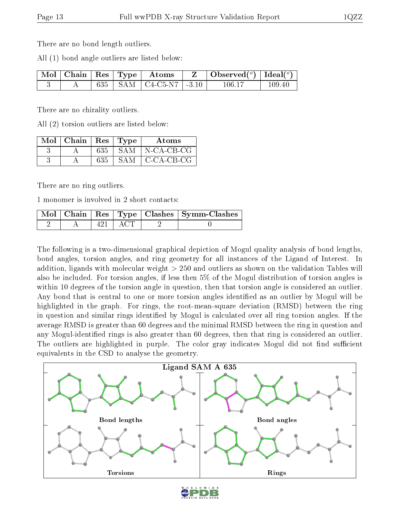There are no bond length outliers.

All (1) bond angle outliers are listed below:

|  |  | $\lceil \overline{\text{Mol}} \rceil$ Chain $\lceil \text{Res} \rceil$ Type $\lceil \text{ Atoms} \rceil$ | $\mid$ Observed $({}^{\circ})$   Ideal $({}^{\circ})$ |        |
|--|--|-----------------------------------------------------------------------------------------------------------|-------------------------------------------------------|--------|
|  |  | 635   SAM   C4-C5-N7   -3.10                                                                              | 106-17                                                | 109.40 |

There are no chirality outliers.

All (2) torsion outliers are listed below:

| $Mol$   Chain   Res   Type |     |            | <b>Atoms</b>      |
|----------------------------|-----|------------|-------------------|
|                            | 635 | -SAM       | $\mid$ N-CA-CB-CG |
|                            | 635 | <b>SAM</b> | C-CA-CB-CG        |

There are no ring outliers.

1 monomer is involved in 2 short contacts:

|  |                   | Mol   Chain   Res   Type   Clashes   Symm-Clashes |
|--|-------------------|---------------------------------------------------|
|  | $\cdots$ actually |                                                   |

The following is a two-dimensional graphical depiction of Mogul quality analysis of bond lengths, bond angles, torsion angles, and ring geometry for all instances of the Ligand of Interest. In addition, ligands with molecular weight > 250 and outliers as shown on the validation Tables will also be included. For torsion angles, if less then 5% of the Mogul distribution of torsion angles is within 10 degrees of the torsion angle in question, then that torsion angle is considered an outlier. Any bond that is central to one or more torsion angles identified as an outlier by Mogul will be highlighted in the graph. For rings, the root-mean-square deviation (RMSD) between the ring in question and similar rings identified by Mogul is calculated over all ring torsion angles. If the average RMSD is greater than 60 degrees and the minimal RMSD between the ring in question and any Mogul-identified rings is also greater than 60 degrees, then that ring is considered an outlier. The outliers are highlighted in purple. The color gray indicates Mogul did not find sufficient equivalents in the CSD to analyse the geometry.



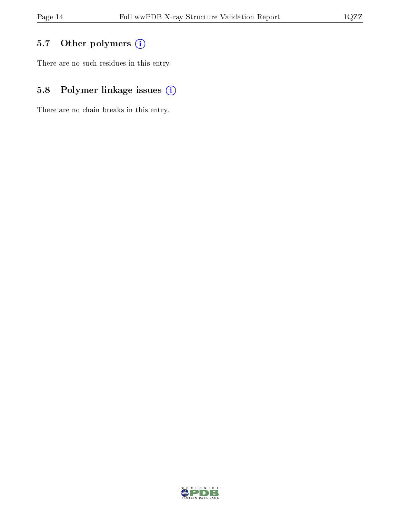## 5.7 [O](https://www.wwpdb.org/validation/2017/XrayValidationReportHelp#nonstandard_residues_and_ligands)ther polymers (i)

There are no such residues in this entry.

## 5.8 Polymer linkage issues (i)

There are no chain breaks in this entry.

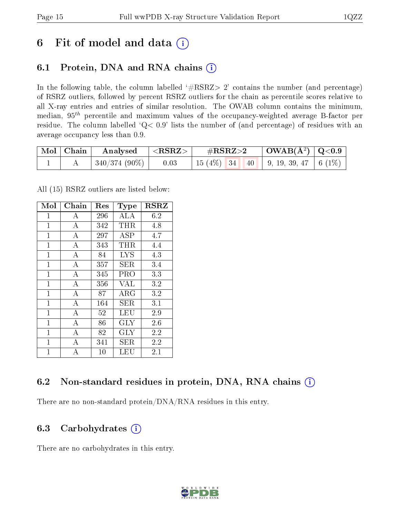## 6 Fit of model and data  $(i)$

### 6.1 Protein, DNA and RNA chains  $(i)$

In the following table, the column labelled  $#RSRZ> 2'$  contains the number (and percentage) of RSRZ outliers, followed by percent RSRZ outliers for the chain as percentile scores relative to all X-ray entries and entries of similar resolution. The OWAB column contains the minimum, median,  $95<sup>th</sup>$  percentile and maximum values of the occupancy-weighted average B-factor per residue. The column labelled ' $Q< 0.9$ ' lists the number of (and percentage) of residues with an average occupancy less than 0.9.

| Mol   Chain | $\rm{Analysised}$ $\vert$ <rsrz> <math>\vert</math></rsrz> | $\rm \#RSRZ{>}2$                           | $\mid$ OWAB(Å <sup>2</sup> ) $\mid$ Q<0.9 $\mid$ |  |
|-------------|------------------------------------------------------------|--------------------------------------------|--------------------------------------------------|--|
|             | $ 340/374(90\%) $ 0.03                                     | 15 (4%)   34   40   9, 19, 39, 47   6 (1%) |                                                  |  |

All (15) RSRZ outliers are listed below:

| Mol            | Chain            | Res    | Type       | <b>RSRZ</b> |
|----------------|------------------|--------|------------|-------------|
| $\mathbf{1}$   | А                | 296    | ALA        | 6.2         |
| $\mathbf{1}$   | $\boldsymbol{A}$ | 342    | THR.       | 4.8         |
| $\mathbf{1}$   | А                | 297    | ASP        | 4.7         |
| 1              | А                | 343    | THR.       | 4.4         |
| $\mathbf{1}$   | A                | 84     | <b>LYS</b> | 4.3         |
| $\mathbf{1}$   | А                | 357    | SER        | $3.4\,$     |
| $\mathbf{1}$   | А                | 345    | PRO        | 3.3         |
| $\overline{1}$ | $\bf{A}$         | 356    | <b>VAL</b> | 3.2         |
| $\mathbf{1}$   | $\overline{A}$   | 87     | $\rm{ARG}$ | 3.2         |
| $\overline{1}$ | А                | 164    | SER.       | 3.1         |
| $\overline{1}$ | $\bf{A}$         | 52     | LEU        | 2.9         |
| $\overline{1}$ | $\overline{A}$   | 86     | GLY        | 2.6         |
| $\overline{1}$ | А                | 82     | <b>GLY</b> | 2.2         |
| $\mathbf{1}$   | А                | 341    | SER        | 2.2         |
| $\overline{1}$ | А                | $10\,$ | LEU        | 2.1         |

### 6.2 Non-standard residues in protein, DNA, RNA chains (i)

There are no non-standard protein/DNA/RNA residues in this entry.

### 6.3 Carbohydrates (i)

There are no carbohydrates in this entry.